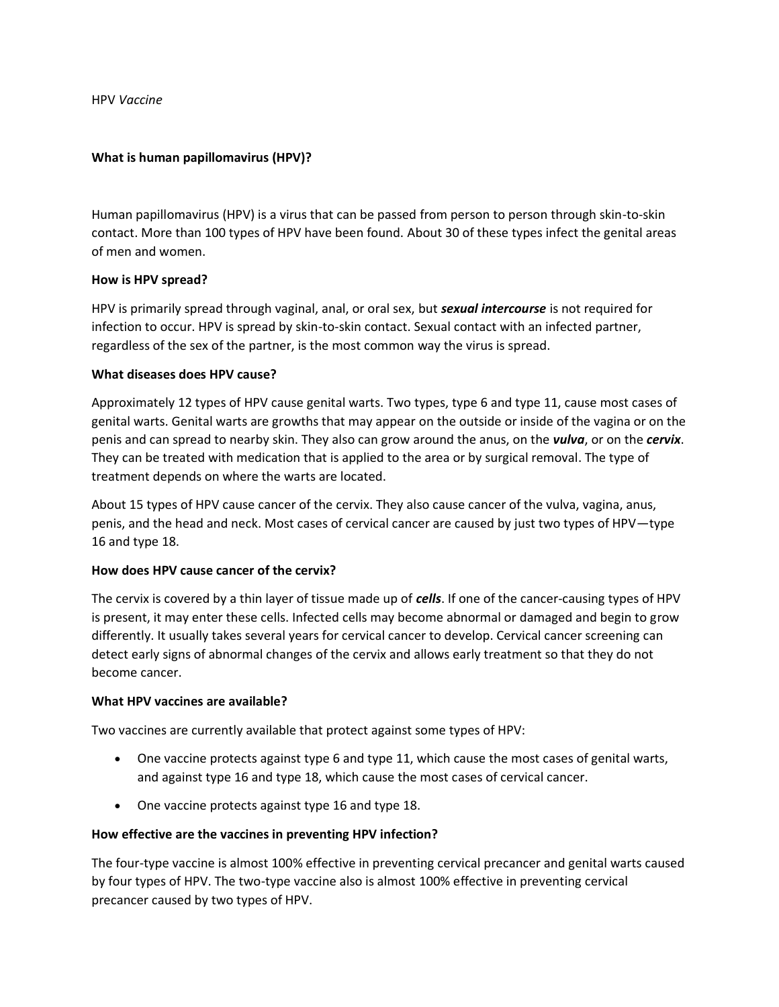HPV *Vaccine* 

### **What is human papillomavirus (HPV)?**

Human papillomavirus (HPV) is a virus that can be passed from person to person through skin-to-skin contact. More than 100 types of HPV have been found. About 30 of these types infect the genital areas of men and women.

### **How is HPV spread?**

HPV is primarily spread through vaginal, anal, or oral sex, but *sexual intercourse* is not required for infection to occur. HPV is spread by skin-to-skin contact. Sexual contact with an infected partner, regardless of the sex of the partner, is the most common way the virus is spread.

### **What diseases does HPV cause?**

Approximately 12 types of HPV cause genital warts. Two types, type 6 and type 11, cause most cases of genital warts. Genital warts are growths that may appear on the outside or inside of the vagina or on the penis and can spread to nearby skin. They also can grow around the anus, on the *vulva*, or on the *cervix*. They can be treated with medication that is applied to the area or by surgical removal. The type of treatment depends on where the warts are located.

About 15 types of HPV cause cancer of the cervix. They also cause cancer of the vulva, vagina, anus, penis, and the head and neck. Most cases of cervical cancer are caused by just two types of HPV—type 16 and type 18.

### **How does HPV cause cancer of the cervix?**

The cervix is covered by a thin layer of tissue made up of *cells*. If one of the cancer-causing types of HPV is present, it may enter these cells. Infected cells may become abnormal or damaged and begin to grow differently. It usually takes several years for cervical cancer to develop. Cervical cancer screening can detect early signs of abnormal changes of the cervix and allows early treatment so that they do not become cancer.

### **What HPV vaccines are available?**

Two vaccines are currently available that protect against some types of HPV:

- One vaccine protects against type 6 and type 11, which cause the most cases of genital warts, and against type 16 and type 18, which cause the most cases of cervical cancer.
- One vaccine protects against type 16 and type 18.

## **How effective are the vaccines in preventing HPV infection?**

The four-type vaccine is almost 100% effective in preventing cervical precancer and genital warts caused by four types of HPV. The two-type vaccine also is almost 100% effective in preventing cervical precancer caused by two types of HPV.